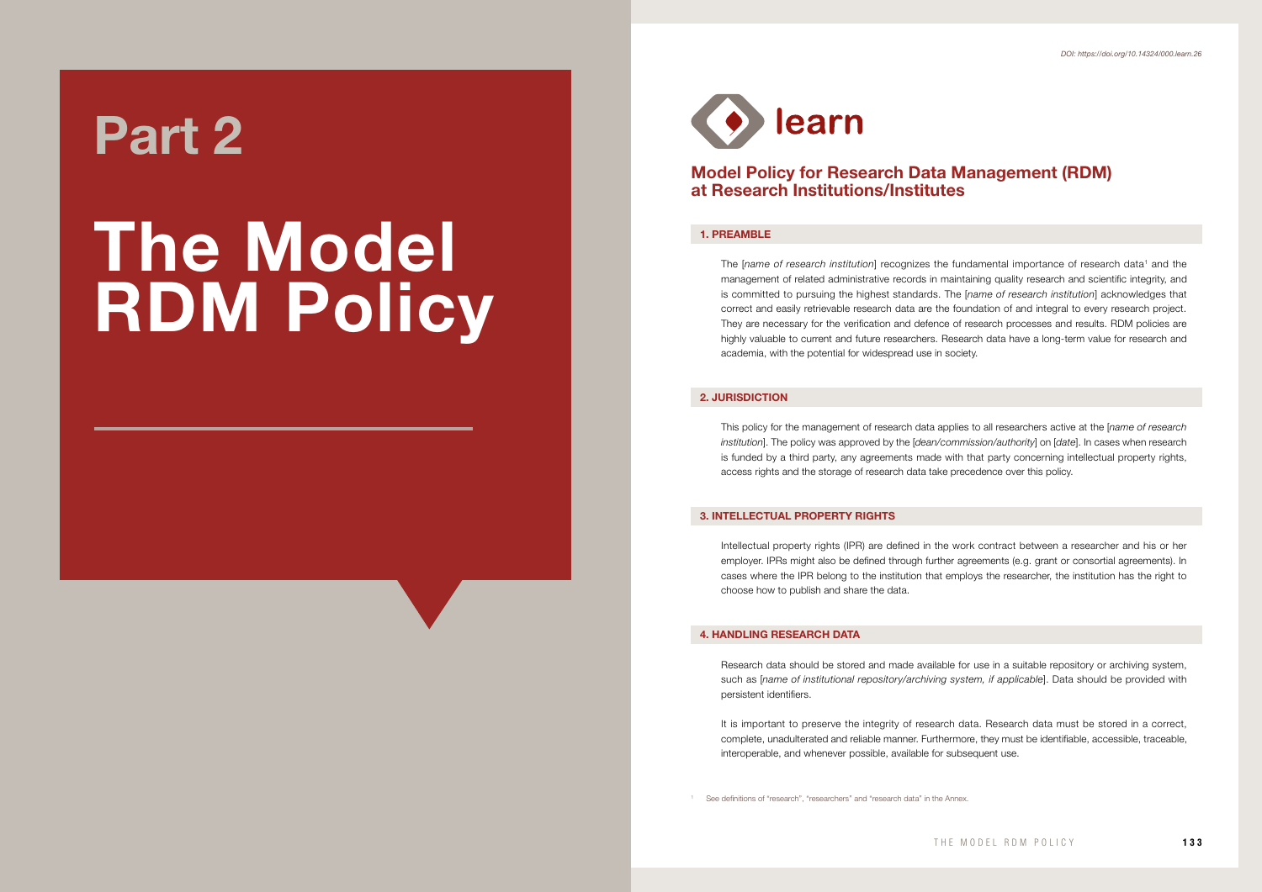

# Model Policy for Research Data Management (RDM) at Research Institutions/Institutes

### 1. PREAMBLE

The [name of research institution] recognizes the fundamental importance of research data<sup>1</sup> and the management of related administrative records in maintaining quality research and scientific integrity, and is committed to pursuing the highest standards. The [*name of research institution*] acknowledges that correct and easily retrievable research data are the foundation of and integral to every research project. They are necessary for the verification and defence of research processes and results. RDM policies are highly valuable to current and future researchers. Research data have a long-term value for research and academia, with the potential for widespread use in society.

## 2. JURISDICTION

This policy for the management of research data applies to all researchers active at the [*name of research institution*]. The policy was approved by the [*dean/commission/authority*] on [*date*]. In cases when research is funded by a third party, any agreements made with that party concerning intellectual property rights, access rights and the storage of research data take precedence over this policy.

### 3. INTELLECTUAL PROPERTY RIGHTS

Intellectual property rights (IPR) are defined in the work contract between a researcher and his or her employer. IPRs might also be defined through further agreements (e.g. grant or consortial agreements). In cases where the IPR belong to the institution that employs the researcher, the institution has the right to choose how to publish and share the data.

## 4. HANDLING RESEARCH DATA

Research data should be stored and made available for use in a suitable repository or archiving system, such as *[name of institutional repository/archiving system, if applicable*]. Data should be provided with persistent identifiers.

It is important to preserve the integrity of research data. Research data must be stored in a correct, complete, unadulterated and reliable manner. Furthermore, they must be identifiable, accessible, traceable, interoperable, and whenever possible, available for subsequent use.

See definitions of "research", "researchers" and "research data" in the Annex.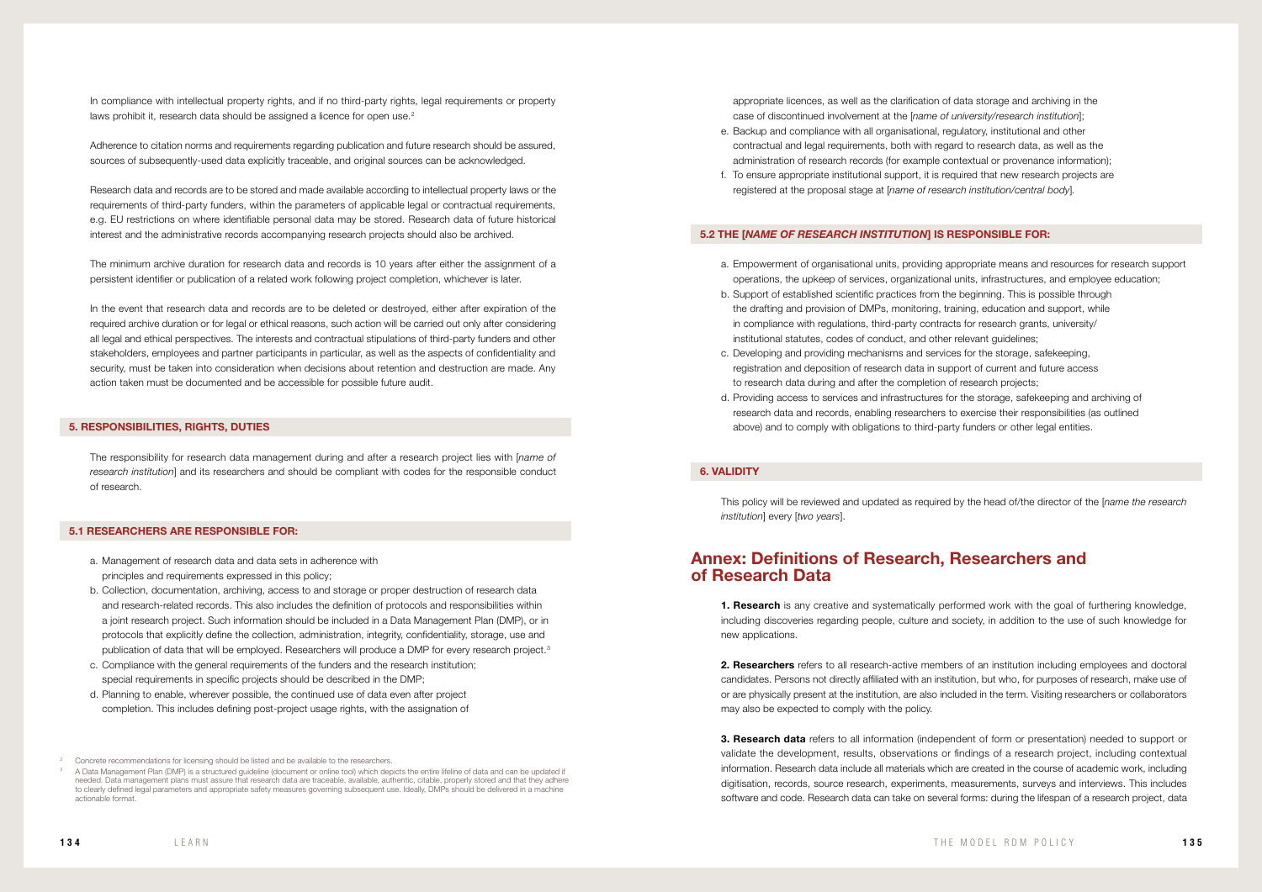appropriate licences, as well as the clarification of data storage and archiving in the case of discontinued involvement at the [*name of university/research institution*]; e. Backup and compliance with all organisational, regulatory, institutional and other contractual and legal requirements, both with regard to research data, as well as the administration of research records (for example contextual or provenance information); f. To ensure appropriate institutional support, it is required that new research projects are registered at the proposal stage at [*name of research institution/central body*]*.*

- 
- 

### 5.2 THE [*NAME OF RESEARCH INSTITUTION*] IS RESPONSIBLE FOR:

**1. Research** is any creative and systematically performed work with the goal of furthering knowledge, including discoveries regarding people, culture and society, in addition to the use of such knowledge for new applications.

- a. Empowerment of organisational units, providing appropriate means and resources for research support operations, the upkeep of services, organizational units, infrastructures, and employee education;
- b. Support of established scientific practices from the beginning. This is possible through the drafting and provision of DMPs, monitoring, training, education and support, while in compliance with regulations, third-party contracts for research grants, university/ institutional statutes, codes of conduct, and other relevant guidelines;
- c. Developing and providing mechanisms and services for the storage, safekeeping, registration and deposition of research data in support of current and future access to research data during and after the completion of research projects;
- d. Providing access to services and infrastructures for the storage, safekeeping and archiving of research data and records, enabling researchers to exercise their responsibilities (as outlined above) and to comply with obligations to third-party funders or other legal entities.

2. Researchers refers to all research-active members of an institution including employees and doctoral candidates. Persons not directly affiliated with an institution, but who, for purposes of research, make use of or are physically present at the institution, are also included in the term. Visiting researchers or collaborators may also be expected to comply with the policy.

**3. Research data** refers to all information (independent of form or presentation) needed to support or validate the development, results, observations or findings of a research project, including contextual information. Research data include all materials which are created in the course of academic work, including digitisation, records, source research, experiments, measurements, surveys and interviews. This includes software and code. Research data can take on several forms: during the lifespan of a research project, data

In compliance with intellectual property rights, and if no third-party rights, legal requirements or property laws prohibit it, research data should be assigned a licence for open use.<sup>2</sup>

# 6. VALIDITY

This policy will be reviewed and updated as required by the head of/the director of the [*name the research institution*] every [*two years*].

# Annex: Definitions of Research, Researchers and of Research Data

Adherence to citation norms and requirements regarding publication and future research should be assured, sources of subsequently-used data explicitly traceable, and original sources can be acknowledged.

Research data and records are to be stored and made available according to intellectual property laws or the requirements of third-party funders, within the parameters of applicable legal or contractual requirements, e.g. EU restrictions on where identifiable personal data may be stored. Research data of future historical interest and the administrative records accompanying research projects should also be archived.

The minimum archive duration for research data and records is 10 years after either the assignment of a persistent identifier or publication of a related work following project completion, whichever is later.

In the event that research data and records are to be deleted or destroyed, either after expiration of the required archive duration or for legal or ethical reasons, such action will be carried out only after considering all legal and ethical perspectives. The interests and contractual stipulations of third-party funders and other stakeholders, employees and partner participants in particular, as well as the aspects of confidentiality and security, must be taken into consideration when decisions about retention and destruction are made. Any action taken must be documented and be accessible for possible future audit.

### 5. RESPONSIBILITIES, RIGHTS, DUTIES

The responsibility for research data management during and after a research project lies with [*name of research institution*] and its researchers and should be compliant with codes for the responsible conduct of research.

## 5.1 RESEARCHERS ARE RESPONSIBLE FOR:

- a. Management of research data and data sets in adherence with principles and requirements expressed in this policy;
- b. Collection, documentation, archiving, access to and storage or proper destruction of research data and research-related records. This also includes the definition of protocols and responsibilities within a joint research project. Such information should be included in a Data Management Plan (DMP), or in protocols that explicitly define the collection, administration, integrity, confidentiality, storage, use and publication of data that will be employed. Researchers will produce a DMP for every research project.<sup>3</sup>
- c. Compliance with the general requirements of the funders and the research institution; special requirements in specific projects should be described in the DMP;
- d. Planning to enable, wherever possible, the continued use of data even after project completion. This includes defining post-project usage rights, with the assignation of

<sup>2</sup> Concrete recommendations for licensing should be listed and be available to the researchers.

<sup>3</sup> A Data Management Plan (DMP) is a structured guideline (document or online tool) which depicts the entire lifeline of data and can be updated if needed. Data management plans must assure that research data are traceable, available, authentic, citable, properly stored and that they adhere to clearly defined legal parameters and appropriate safety measures governing subsequent use. Ideally, DMPs should be delivered in a machine actionable format.